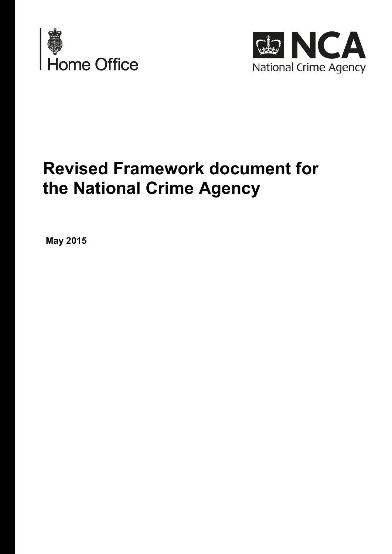



# **Revised Framework document for the National Crime Agency**

**May 2015**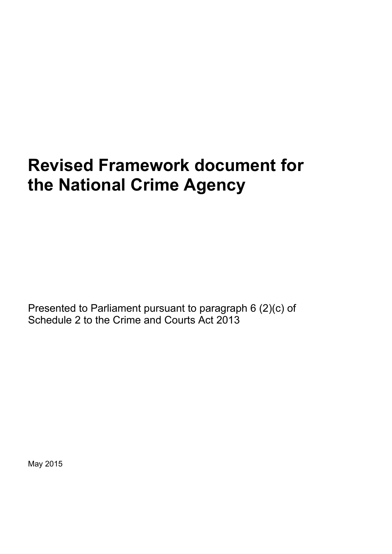# **Revised Framework document for the National Crime Agency**

Presented to Parliament pursuant to paragraph 6 (2)(c) of Schedule 2 to the Crime and Courts Act 2013

May 2015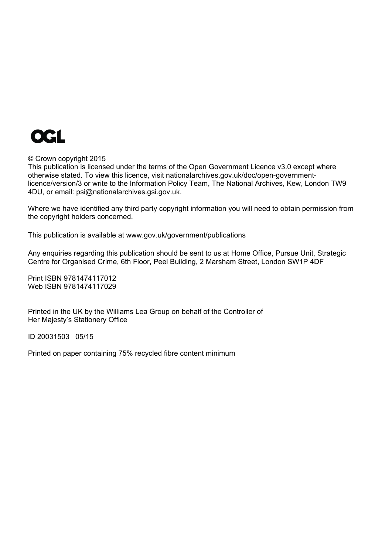

#### © Crown copyright 2015

This publication is licensed under the terms of the Open Government Licence v3.0 except where otherwise stated. To view this licence, visit [nationalarchives.gov.uk/doc/open-government](http://www.nationalarchives.gov.uk/doc/open-government-licence/version/3)[licence/version/3](http://www.nationalarchives.gov.uk/doc/open-government-licence/version/3) or write to the Information Policy Team, The National Archives, Kew, London TW9 4DU, or email: [psi@nationalarchives.gsi.gov.uk](mailto:psi@nationalarchives.gsi.gov.uk).

Where we have identified any third party copyright information you will need to obtain permission from the copyright holders concerned.

This publication is available at [www.gov.uk/government/publications](http://www.gov.uk/government/publications)

Any enquiries regarding this publication should be sent to us at Home Office, Pursue Unit, Strategic Centre for Organised Crime, 6th Floor, Peel Building, 2 Marsham Street, London SW1P 4DF

Print ISBN 9781474117012 Web ISBN 9781474117029

Printed in the UK by the Williams Lea Group on behalf of the Controller of Her Majesty's Stationery Office

ID 20031503 05/15

Printed on paper containing 75% recycled fibre content minimum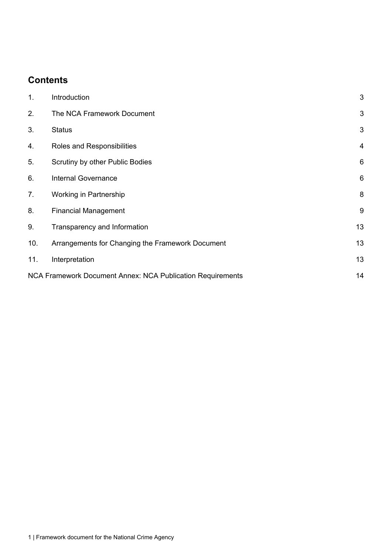# **Contents**

| 1.                                                         | Introduction                                     | 3              |
|------------------------------------------------------------|--------------------------------------------------|----------------|
| 2.                                                         | The NCA Framework Document                       | 3              |
| 3.                                                         | <b>Status</b>                                    | 3              |
| 4.                                                         | Roles and Responsibilities                       | 4              |
| 5.                                                         | Scrutiny by other Public Bodies                  | $6\phantom{1}$ |
| 6.                                                         | <b>Internal Governance</b>                       | 6              |
| 7.                                                         | Working in Partnership                           | 8              |
| 8.                                                         | <b>Financial Management</b>                      | 9              |
| 9.                                                         | Transparency and Information                     | 13             |
| 10.                                                        | Arrangements for Changing the Framework Document | 13             |
| 11.                                                        | Interpretation                                   | 13             |
| NCA Framework Document Annex: NCA Publication Requirements |                                                  | 14             |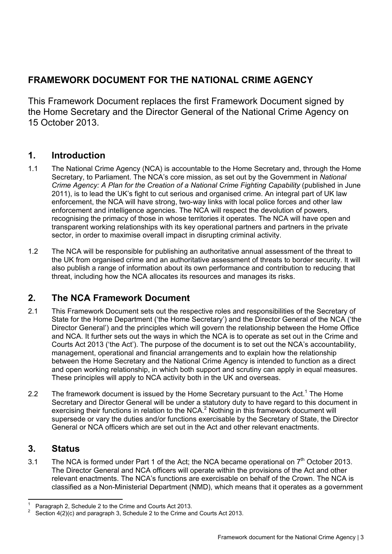# **FRAMEWORK DOCUMENT FOR THE NATIONAL CRIME AGENCY**

This Framework Document replaces the first Framework Document signed by the Home Secretary and the Director General of the National Crime Agency on 15 October 2013.

## <span id="page-6-0"></span>**1. Introduction**

- 1.1 The National Crime Agency (NCA) is accountable to the Home Secretary and, through the Home Secretary, to Parliament. The NCA's core mission, as set out by the Government in *National Crime Agency: A Plan for the Creation of a National Crime Fighting Capability* (published in June 2011), is to lead the UK's fight to cut serious and organised crime. An integral part of UK law enforcement, the NCA will have strong, two-way links with local police forces and other law enforcement and intelligence agencies. The NCA will respect the devolution of powers, recognising the primacy of those in whose territories it operates. The NCA will have open and transparent working relationships with its key operational partners and partners in the private sector, in order to maximise overall impact in disrupting criminal activity.
- 1.2 The NCA will be responsible for publishing an authoritative annual assessment of the threat to the UK from organised crime and an authoritative assessment of threats to border security. It will also publish a range of information about its own performance and contribution to reducing that threat, including how the NCA allocates its resources and manages its risks.

# **2. The NCA Framework Document**

- <span id="page-6-1"></span>2.1 This Framework Document sets out the respective roles and responsibilities of the Secretary of State for the Home Department ('the Home Secretary') and the Director General of the NCA ('the Director General') and the principles which will govern the relationship between the Home Office and NCA. It further sets out the ways in which the NCA is to operate as set out in the Crime and Courts Act 2013 ('the Act'). The purpose of the document is to set out the NCA's accountability, management, operational and financial arrangements and to explain how the relationship between the Home Secretary and the National Crime Agency is intended to function as a direct and open working relationship, in which both support and scrutiny can apply in equal measures. These principles will apply to NCA activity both in the UK and overseas.
- 2.2 The framework document is issued by the Home Secretary pursuant to the Act.<sup>1</sup> The Home Secretary and Director General will be under a statutory duty to have regard to this document in exercising their functions in relation to the NCA. $<sup>2</sup>$  Nothing in this framework document will</sup> supersede or vary the duties and/or functions exercisable by the Secretary of State, the Director General or NCA officers which are set out in the Act and other relevant enactments.

## **3. Status**

<span id="page-6-2"></span>3.1 The NCA is formed under Part 1 of the Act; the NCA became operational on  $7<sup>th</sup>$  October 2013. The Director General and NCA officers will operate within the provisions of the Act and other relevant enactments. The NCA's functions are exercisable on behalf of the Crown. The NCA is classified as a Non-Ministerial Department (NMD), which means that it operates as a government

 $\overline{a}$ 1 Paragraph 2, Schedule 2 to the Crime and Courts Act 2013.

<sup>2</sup> Section 4(2)(c) and paragraph 3, Schedule 2 to the Crime and Courts Act 2013.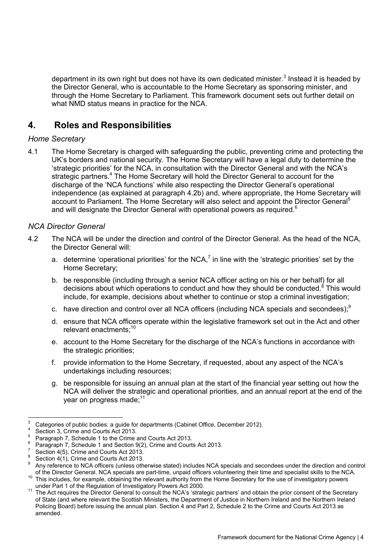department in its own right but does not have its own dedicated minister.<sup>3</sup> Instead it is headed by the Director General, who is accountable to the Home Secretary as sponsoring minister, and through the Home Secretary to Parliament. This framework document sets out further detail on what NMD status means in practice for the NCA.

## **4. Roles and Responsibilities**

## <span id="page-7-0"></span>*Home Secretary*

4.1 The Home Secretary is charged with safeguarding the public, preventing crime and protecting the UK's borders and national security. The Home Secretary will have a legal duty to determine the 'strategic priorities' for the NCA, in consultation with the Director General and with the NCA's strategic partners.<sup>4</sup> The Home Secretary will hold the Director General to account for the discharge of the 'NCA functions' while also respecting the Director General's operational independence (as explained at paragraph 4.2b) and, where appropriate, the Home Secretary will account to Parliament. The Home Secretary will also select and appoint the Director General<sup>5</sup> and will designate the Director General with operational powers as required.<sup>6</sup>

## *NCA Director General*

- 4.2 The NCA will be under the direction and control of the Director General. As the head of the NCA, the Director General will:
	- a. determine 'operational priorities' for the NCA,<sup>7</sup> in line with the 'strategic priorities' set by the Home Secretary;
	- b. be responsible (including through a senior NCA officer acting on his or her behalf) for all decisions about which operations to conduct and how they should be conducted.<sup>8</sup> This would include, for example, decisions about whether to continue or stop a criminal investigation;
	- c. have direction and control over all NCA officers (including NCA specials and secondees); $9$
	- d. ensure that NCA officers operate within the legislative framework set out in the Act and other relevant enactments;10
	- e. account to the Home Secretary for the discharge of the NCA's functions in accordance with the strategic priorities;
	- f. provide information to the Home Secretary, if requested, about any aspect of the NCA's undertakings including resources;
	- g. be responsible for issuing an annual plan at the start of the financial year setting out how the NCA will deliver the strategic and operational priorities, and an annual report at the end of the year on progress made:<sup>11</sup>

<sup>-&</sup>lt;br>3 Categories of public bodies: a guide for departments (Cabinet Office, December 2012).

<sup>4</sup> Section 3, Crime and Courts Act 2013.

 $5$  Paragraph 7, Schedule 1 to the Crime and Courts Act 2013.

<sup>6</sup>  $^{6}$  Paragraph 7, Schedule 1 and Section 9(2), Crime and Courts Act 2013.

Section 4(5), Crime and Courts Act 2013.

<sup>8</sup> Section  $4(1)$ , Crime and Courts Act 2013.

<sup>9</sup> Any reference to NCA officers (unless otherwise stated) includes NCA specials and secondees under the direction and control of the Director General. NCA specials are part-time, unpaid officers volunteering their time and s This includes, for example, obtaining the relevant authority from the Home Secretary for the use of investigatory powers<br>under Part 1 of the Regulation of Investigatory Powers Act 2000.

<sup>&</sup>lt;sup>11</sup> The Act requires the Director General to consult the NCA's 'strategic partners' and obtain the prior consent of the Secretary of State (and where relevant the Scottish Ministers, the Department of Justice in Northern Ireland and the Northern Ireland Policing Board) before issuing the annual plan. Section 4 and Part 2, Schedule 2 to the Crime and Courts Act 2013 as amended.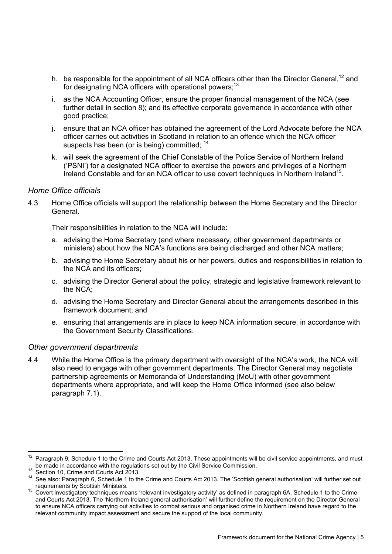- h. be responsible for the appointment of all NCA officers other than the Director General,  $^{12}$  and for designating NCA officers with operational powers; $^{13}$
- i. as the NCA Accounting Officer, ensure the proper financial management of the NCA (see further detail in section 8); and its effective corporate governance in accordance with other good practice;
- j. ensure that an NCA officer has obtained the agreement of the Lord Advocate before the NCA officer carries out activities in Scotland in relation to an offence which the NCA officer suspects has been (or is being) committed; <sup>14</sup>
- k. will seek the agreement of the Chief Constable of the Police Service of Northern Ireland ('PSNI') for a designated NCA officer to exercise the powers and privileges of a Northern Ireland Constable and for an NCA officer to use covert techniques in Northern Ireland<sup>15</sup>.

## *Home Office officials*

4.3 Home Office officials will support the relationship between the Home Secretary and the Director General.

Their responsibilities in relation to the NCA will include:

- a. advising the Home Secretary (and where necessary, other government departments or ministers) about how the NCA's functions are being discharged and other NCA matters;
- b. advising the Home Secretary about his or her powers, duties and responsibilities in relation to the NCA and its officers;
- c. advising the Director General about the policy, strategic and legislative framework relevant to the NCA;
- d. advising the Home Secretary and Director General about the arrangements described in this framework document; and
- e. ensuring that arrangements are in place to keep NCA information secure, in accordance with the Government Security Classifications.

#### *Other government departments*

4.4 While the Home Office is the primary department with oversight of the NCA's work, the NCA will also need to engage with other government departments. The Director General may negotiate partnership agreements or Memoranda of Understanding (MoU) with other government departments where appropriate, and will keep the Home Office informed (see also below paragraph 7.1).

 $12$ Paragraph 9, Schedule 1 to the Crime and Courts Act 2013. These appointments will be civil service appointments, and must<br>be made in accordance with the regulations set out by the Civil Service Commission.

<sup>13</sup> Section 10, Crime and Courts Act 2013.<br><sup>13</sup> Section 10, Crime and Courts Act 2013.<br><sup>14</sup> See also: Paragraph 6, Schedule 1 to the Crime and Courts Act 2013. The 'Scottish general authorisation' will further set out requi

<sup>15</sup> Covert investigatory techniques means 'relevant investigatory activity' as defined in paragraph 6A, Schedule 1 to the Crime and Courts Act 2013. The 'Northern Ireland general authorisation' will further define the requirement on the Director General to ensure NCA officers carrying out activities to combat serious and organised crime in Northern Ireland have regard to the relevant community impact assessment and secure the support of the local community.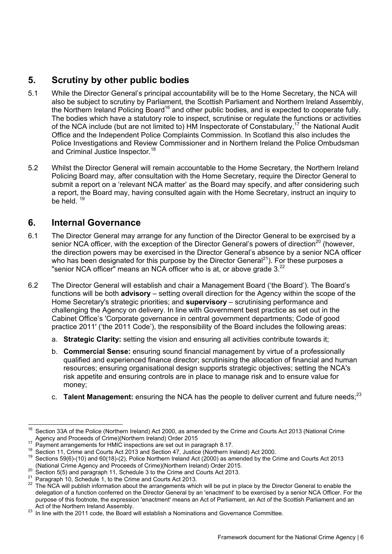# **5. Scrutiny by other public bodies**

- <span id="page-9-0"></span>5.1 While the Director General's principal accountability will be to the Home Secretary, the NCA will also be subject to scrutiny by Parliament, the Scottish Parliament and Northern Ireland Assembly, the Northern Ireland Policing Board<sup>16</sup> and other public bodies, and is expected to cooperate fully. The bodies which have a statutory role to inspect, scrutinise or regulate the functions or activities of the NCA include (but are not limited to) HM Inspectorate of Constabulary,17 the National Audit Office and the Independent Police Complaints Commission. In Scotland this also includes the Police Investigations and Review Commissioner and in Northern Ireland the Police Ombudsman and Criminal Justice Inspector.<sup>18</sup>
- 5.2 Whilst the Director General will remain accountable to the Home Secretary, the Northern Ireland Policing Board may, after consultation with the Home Secretary, require the Director General to submit a report on a 'relevant NCA matter' as the Board may specify, and after considering such a report, the Board may, having consulted again with the Home Secretary, instruct an inquiry to be held <sup>19</sup>

## **6. Internal Governance**

- <span id="page-9-1"></span>6.1 The Director General may arrange for any function of the Director General to be exercised by a senior NCA officer, with the exception of the Director General's powers of direction<sup>20</sup> (however, the direction powers may be exercised in the Director General's absence by a senior NCA officer who has been designated for this purpose by the Director General<sup>21</sup>). For these purposes a "senior NCA officer" means an NCA officer who is at, or above grade  $3<sup>22</sup>$
- 6.2 The Director General will establish and chair a Management Board ('the Board'). The Board's functions will be both **advisory** – setting overall direction for the Agency within the scope of the Home Secretary's strategic priorities; and **supervisory** – scrutinising performance and challenging the Agency on delivery. In line with Government best practice as set out in the Cabinet Office's 'Corporate governance in central government departments; Code of good practice 2011' ('the 2011 Code'), the responsibility of the Board includes the following areas:
	- a. **Strategic Clarity:** setting the vision and ensuring all activities contribute towards it;
	- b. **Commercial Sense:** ensuring sound financial management by virtue of a professionally qualified and experienced finance director; scrutinising the allocation of financial and human resources; ensuring organisational design supports strategic objectives; setting the NCA's risk appetite and ensuring controls are in place to manage risk and to ensure value for money;
	- c. Talent Management: ensuring the NCA has the people to deliver current and future needs:<sup>23</sup>

<sup>16</sup> Section 33A of the Police (Northern Ireland) Act 2000, as amended by the Crime and Courts Act 2013 (National Crime<br>Agency and Proceeds of Crime)(Northern Ireland) Order 2015

<sup>&</sup>lt;sup>17</sup> Payment arrangements for HMIC inspections are set out in paragraph 8.17.<br><sup>18</sup> Section 11, Crime and Courts Act 2013 and Section 47, Justice (Northern Ireland) Act 2000.<br><sup>19</sup> Sections 59(6)-(10) and 60(18)-(2), Police

<sup>&</sup>lt;sup>20</sup> Section 5(5) and paragraph 11, Schedule 3 to the Crime and Courts Act 2013.<br><sup>21</sup> Paragraph 10, Schedule 1, to the Crime and Courts Act 2013.<br><sup>21</sup> The NCA will publish information about the arrangements which will be p delegation of a function conferred on the Director General by an 'enactment' to be exercised by a senior NCA Officer. For the purpose of this footnote, the expression 'enactment' means an Act of Parliament, an Act of the Scottish Parliament and an<br>Act of the Northern Ireland Assembly.

<sup>&</sup>lt;sup>23</sup> In line with the 2011 code, the Board will establish a Nominations and Governance Committee.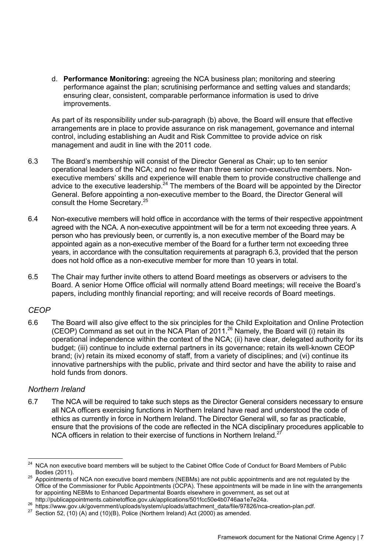d. **Performance Monitoring:** agreeing the NCA business plan; monitoring and steering performance against the plan; scrutinising performance and setting values and standards; ensuring clear, consistent, comparable performance information is used to drive improvements.

As part of its responsibility under sub-paragraph (b) above, the Board will ensure that effective arrangements are in place to provide assurance on risk management, governance and internal control, including establishing an Audit and Risk Committee to provide advice on risk management and audit in line with the 2011 code.

- 6.3 The Board's membership will consist of the Director General as Chair; up to ten senior operational leaders of the NCA; and no fewer than three senior non-executive members. Nonexecutive members' skills and experience will enable them to provide constructive challenge and advice to the executive leadership.<sup>24</sup> The members of the Board will be appointed by the Director General. Before appointing a non-executive member to the Board, the Director General will consult the Home Secretary.<sup>25</sup>
- 6.4 Non-executive members will hold office in accordance with the terms of their respective appointment agreed with the NCA. A non-executive appointment will be for a term not exceeding three years. A person who has previously been, or currently is, a non executive member of the Board may be appointed again as a non-executive member of the Board for a further term not exceeding three years, in accordance with the consultation requirements at paragraph 6.3, provided that the person does not hold office as a non-executive member for more than 10 years in total.
- 6.5 The Chair may further invite others to attend Board meetings as observers or advisers to the Board. A senior Home Office official will normally attend Board meetings; will receive the Board's papers, including monthly financial reporting; and will receive records of Board meetings.

## *CEOP*

6.6 The Board will also give effect to the six principles for the Child Exploitation and Online Protection (CEOP) Command as set out in the NCA Plan of 2011.26 Namely, the Board will (i) retain its operational independence within the context of the NCA; (ii) have clear, delegated authority for its budget; (iii) continue to include external partners in its governance; retain its well-known CEOP brand; (iv) retain its mixed economy of staff, from a variety of disciplines; and (vi) continue its innovative partnerships with the public, private and third sector and have the ability to raise and hold funds from donors.

## *Northern Ireland*

6.7 The NCA will be required to take such steps as the Director General considers necessary to ensure all NCA officers exercising functions in Northern Ireland have read and understood the code of ethics as currently in force in Northern Ireland. The Director General will, so far as practicable, ensure that the provisions of the code are reflected in the NCA disciplinary procedures applicable to NCA officers in relation to their exercise of functions in Northern Ireland.<sup>27</sup>

 $\overline{a}$ NCA non executive board members will be subject to the Cabinet Office Code of Conduct for Board Members of Public

Bodies (2011).<br><sup>25</sup> Appointments of NCA non executive board members (NEBMs) are not public appointments and are not regulated by the Office of the Commissioner for Public Appointments (OCPA). These appointments will be made in line with the arrangements for appointing NEBMs to Enhanced Departmental Boards elsewhere in government, as set out at http://publicappointments.cabinetoffice.gov.uk/applications/501fcc50e4b0746aa1e7e24a.

<sup>26</sup> [https://www.gov.uk/government/uploads/system/uploads/attachment\\_data/file/97826/nca-creation-plan.pdf.](https://www.gov.uk/government/uploads/system/uploads/attachment_data/file/97826/nca-creation-plan.pdf)<br>27 Section 52, (10) (A) and (10)(B), Police (Northern Ireland) Act (2000) as amended.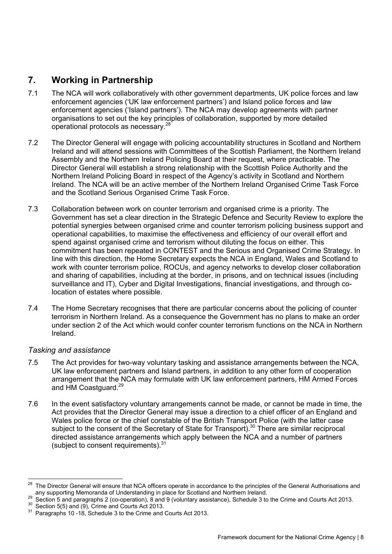## **7. Working in Partnership**

- <span id="page-11-0"></span>7.1 The NCA will work collaboratively with other government departments, UK police forces and law enforcement agencies ('UK law enforcement partners') and Island police forces and law enforcement agencies ('Island partners'). The NCA may develop agreements with partner organisations to set out the key principles of collaboration, supported by more detailed operational protocols as necessary.28
- 7.2 The Director General will engage with policing accountability structures in Scotland and Northern Ireland and will attend sessions with Committees of the Scottish Parliament, the Northern Ireland Assembly and the Northern Ireland Policing Board at their request, where practicable. The Director General will establish a strong relationship with the Scottish Police Authority and the Northern Ireland Policing Board in respect of the Agency's activity in Scotland and Northern Ireland. The NCA will be an active member of the Northern Ireland Organised Crime Task Force and the Scotland Serious Organised Crime Task Force.
- 7.3 Collaboration between work on counter terrorism and organised crime is a priority. The Government has set a clear direction in the Strategic Defence and Security Review to explore the potential synergies between organised crime and counter terrorism policing business support and operational capabilities, to maximise the effectiveness and efficiency of our overall effort and spend against organised crime and terrorism without diluting the focus on either. This commitment has been repeated in CONTEST and the Serious and Organised Crime Strategy. In line with this direction, the Home Secretary expects the NCA in England, Wales and Scotland to work with counter terrorism police, ROCUs, and agency networks to develop closer collaboration and sharing of capabilities, including at the border, in prisons, and on technical issues (including surveillance and IT), Cyber and Digital Investigations, financial investigations, and through colocation of estates where possible.
- 7.4 The Home Secretary recognises that there are particular concerns about the policing of counter terrorism in Northern Ireland. As a consequence the Government has no plans to make an order under section 2 of the Act which would confer counter terrorism functions on the NCA in Northern Ireland.

## *Tasking and assistance*

 $\overline{a}$ 

- 7.5 The Act provides for two-way voluntary tasking and assistance arrangements between the NCA, UK law enforcement partners and Island partners, in addition to any other form of cooperation arrangement that the NCA may formulate with UK law enforcement partners, HM Armed Forces and HM Coastguard.<sup>29</sup>
- 7.6 In the event satisfactory voluntary arrangements cannot be made, or cannot be made in time, the Act provides that the Director General may issue a direction to a chief officer of an England and Wales police force or the chief constable of the British Transport Police (with the latter case subject to the consent of the Secretary of State for Transport).<sup>30</sup> There are similar reciprocal directed assistance arrangements which apply between the NCA and a number of partners (subject to consent requirements). $31$

The Director General will ensure that NCA officers operate in accordance to the principles of the General Authorisations and<br>any supporting Memoranda of Understanding in place for Scotland and Northern Ireland.

<sup>&</sup>lt;sup>29</sup> Section 5 and paragraphs 2 (co-operation), 8 and 9 (voluntary assistance), Schedule 3 to the Crime and Courts Act 2013.<br><sup>30</sup> Section 5(5) and (9), Crime and Courts Act 2013.<br><sup>31</sup> Paragraphs 10 -18, Schedule 3 to the C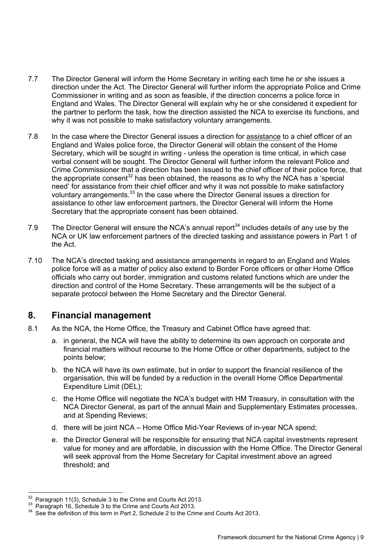- 7.7 The Director General will inform the Home Secretary in writing each time he or she issues a direction under the Act. The Director General will further inform the appropriate Police and Crime Commissioner in writing and as soon as feasible, if the direction concerns a police force in England and Wales. The Director General will explain why he or she considered it expedient for the partner to perform the task, how the direction assisted the NCA to exercise its functions, and why it was not possible to make satisfactory voluntary arrangements.
- 7.8 In the case where the Director General issues a direction for assistance to a chief officer of an England and Wales police force, the Director General will obtain the consent of the Home Secretary, which will be sought in writing - unless the operation is time critical, in which case verbal consent will be sought. The Director General will further inform the relevant Police and Crime Commissioner that a direction has been issued to the chief officer of their police force, that the appropriate consent<sup>32</sup> has been obtained, the reasons as to why the NCA has a 'special need' for assistance from their chief officer and why it was not possible to make satisfactory voluntary arrangements.33 In the case where the Director General issues a direction for assistance to other law enforcement partners, the Director General will inform the Home Secretary that the appropriate consent has been obtained.
- 7.9 The Director General will ensure the NCA's annual report $34$  includes details of any use by the NCA or UK law enforcement partners of the directed tasking and assistance powers in Part 1 of the Act.
- 7.10 The NCA's directed tasking and assistance arrangements in regard to an England and Wales police force will as a matter of policy also extend to Border Force officers or other Home Office officials who carry out border, immigration and customs related functions which are under the direction and control of the Home Secretary. These arrangements will be the subject of a separate protocol between the Home Secretary and the Director General.

## **8. Financial management**

- <span id="page-12-0"></span>8.1 As the NCA, the Home Office, the Treasury and Cabinet Office have agreed that:
	- a. in general, the NCA will have the ability to determine its own approach on corporate and financial matters without recourse to the Home Office or other departments, subject to the points below;
	- b. the NCA will have its own estimate, but in order to support the financial resilience of the organisation, this will be funded by a reduction in the overall Home Office Departmental Expenditure Limit (DEL);
	- c. the Home Office will negotiate the NCA's budget with HM Treasury, in consultation with the NCA Director General, as part of the annual Main and Supplementary Estimates processes, and at Spending Reviews;
	- d. there will be joint NCA Home Office Mid-Year Reviews of in-year NCA spend;
	- e. the Director General will be responsible for ensuring that NCA capital investments represent value for money and are affordable, in discussion with the Home Office. The Director General will seek approval from the Home Secretary for Capital investment above an agreed threshold; and

 $32$ 

<sup>&</sup>lt;sup>32</sup> Paragraph 11(3), Schedule 3 to the Crime and Courts Act 2013.<br><sup>33</sup> Paragraph 16, Schedule 3 to the Crime and Courts Act 2013.<br><sup>34</sup> See the definition of this term in Part 2, Schedule 2 to the Crime and Courts Act 201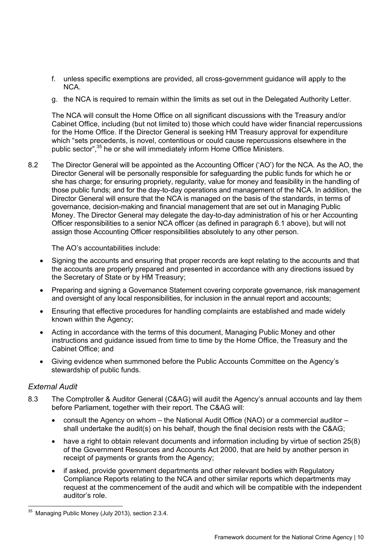- f. unless specific exemptions are provided, all cross-government guidance will apply to the NCA.
- g. the NCA is required to remain within the limits as set out in the Delegated Authority Letter.

The NCA will consult the Home Office on all significant discussions with the Treasury and/or Cabinet Office, including (but not limited to) those which could have wider financial repercussions for the Home Office. If the Director General is seeking HM Treasury approval for expenditure which "sets precedents, is novel, contentious or could cause repercussions elsewhere in the public sector",<sup>35</sup> he or she will immediately inform Home Office Ministers.

8.2 The Director General will be appointed as the Accounting Officer ('AO') for the NCA. As the AO, the Director General will be personally responsible for safeguarding the public funds for which he or she has charge; for ensuring propriety, regularity, value for money and feasibility in the handling of those public funds; and for the day-to-day operations and management of the NCA. In addition, the Director General will ensure that the NCA is managed on the basis of the standards, in terms of governance, decision-making and financial management that are set out in Managing Public Money. The Director General may delegate the day-to-day administration of his or her Accounting Officer responsibilities to a senior NCA officer (as defined in paragraph 6.1 above), but will not assign those Accounting Officer responsibilities absolutely to any other person.

The AO's accountabilities include:

- Signing the accounts and ensuring that proper records are kept relating to the accounts and that the accounts are properly prepared and presented in accordance with any directions issued by the Secretary of State or by HM Treasury;
- Preparing and signing a Governance Statement covering corporate governance, risk management and oversight of any local responsibilities, for inclusion in the annual report and accounts;
- Ensuring that effective procedures for handling complaints are established and made widely known within the Agency;
- Acting in accordance with the terms of this document, Managing Public Money and other instructions and guidance issued from time to time by the Home Office, the Treasury and the Cabinet Office; and
- Giving evidence when summoned before the Public Accounts Committee on the Agency's stewardship of public funds.

## *External Audit*

- 8.3 The Comptroller & Auditor General (C&AG) will audit the Agency's annual accounts and lay them before Parliament, together with their report. The C&AG will:
	- consult the Agency on whom the National Audit Office (NAO) or a commercial auditor shall undertake the audit(s) on his behalf, though the final decision rests with the C&AG;
	- have a right to obtain relevant documents and information including by virtue of section 25(8) of the Government Resources and Accounts Act 2000, that are held by another person in receipt of payments or grants from the Agency;
	- if asked, provide government departments and other relevant bodies with Regulatory Compliance Reports relating to the NCA and other similar reports which departments may request at the commencement of the audit and which will be compatible with the independent auditor's role.

 $\overline{a}$  $35$  Managing Public Money (July 2013), section 2.3.4.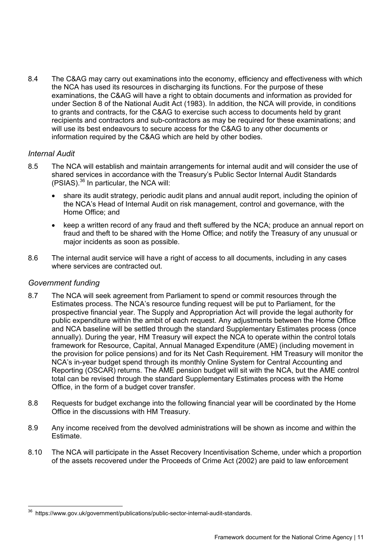8.4 The C&AG may carry out examinations into the economy, efficiency and effectiveness with which the NCA has used its resources in discharging its functions. For the purpose of these examinations, the C&AG will have a right to obtain documents and information as provided for under Section 8 of the National Audit Act (1983). In addition, the NCA will provide, in conditions to grants and contracts, for the C&AG to exercise such access to documents held by grant recipients and contractors and sub-contractors as may be required for these examinations; and will use its best endeavours to secure access for the C&AG to any other documents or information required by the C&AG which are held by other bodies.

## *Internal Audit*

- 8.5 The NCA will establish and maintain arrangements for internal audit and will consider the use of shared services in accordance with the Treasury's Public Sector Internal Audit Standards (PSIAS).36 In particular, the NCA will:
	- share its audit strategy, periodic audit plans and annual audit report, including the opinion of the NCA's Head of Internal Audit on risk management, control and governance, with the Home Office; and
	- keep a written record of any fraud and theft suffered by the NCA; produce an annual report on fraud and theft to be shared with the Home Office; and notify the Treasury of any unusual or major incidents as soon as possible.
- 8.6 The internal audit service will have a right of access to all documents, including in any cases where services are contracted out.

#### *Government funding*

- 8.7 The NCA will seek agreement from Parliament to spend or commit resources through the Estimates process. The NCA's resource funding request will be put to Parliament, for the prospective financial year. The Supply and Appropriation Act will provide the legal authority for public expenditure within the ambit of each request. Any adjustments between the Home Office and NCA baseline will be settled through the standard Supplementary Estimates process (once annually). During the year, HM Treasury will expect the NCA to operate within the control totals framework for Resource, Capital, Annual Managed Expenditure (AME) (including movement in the provision for police pensions) and for its Net Cash Requirement. HM Treasury will monitor the NCA's in-year budget spend through its monthly Online System for Central Accounting and Reporting (OSCAR) returns. The AME pension budget will sit with the NCA, but the AME control total can be revised through the standard Supplementary Estimates process with the Home Office, in the form of a budget cover transfer.
- 8.8 Requests for budget exchange into the following financial year will be coordinated by the Home Office in the discussions with HM Treasury.
- 8.9 Any income received from the devolved administrations will be shown as income and within the Estimate.
- 8.10 The NCA will participate in the Asset Recovery Incentivisation Scheme, under which a proportion of the assets recovered under the Proceeds of Crime Act (2002) are paid to law enforcement

 $\overline{a}$ <sup>36</sup> <https://www.gov.uk/government/publications/public-sector-internal-audit-standards>.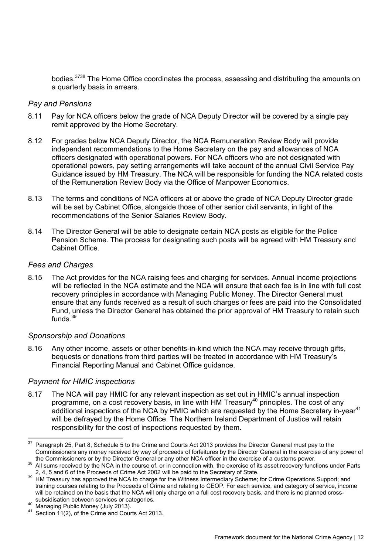bodies.<sup>3738</sup> The Home Office coordinates the process, assessing and distributing the amounts on a quarterly basis in arrears.

#### *Pay and Pensions*

- 8.11 Pay for NCA officers below the grade of NCA Deputy Director will be covered by a single pay remit approved by the Home Secretary.
- 8.12 For grades below NCA Deputy Director, the NCA Remuneration Review Body will provide independent recommendations to the Home Secretary on the pay and allowances of NCA officers designated with operational powers. For NCA officers who are not designated with operational powers, pay setting arrangements will take account of the annual Civil Service Pay Guidance issued by HM Treasury. The NCA will be responsible for funding the NCA related costs of the Remuneration Review Body via the Office of Manpower Economics.
- 8.13 The terms and conditions of NCA officers at or above the grade of NCA Deputy Director grade will be set by Cabinet Office, alongside those of other senior civil servants, in light of the recommendations of the Senior Salaries Review Body.
- 8.14 The Director General will be able to designate certain NCA posts as eligible for the Police Pension Scheme. The process for designating such posts will be agreed with HM Treasury and Cabinet Office.

#### *Fees and Charges*

8.15 The Act provides for the NCA raising fees and charging for services. Annual income projections will be reflected in the NCA estimate and the NCA will ensure that each fee is in line with full cost recovery principles in accordance with Managing Public Money. The Director General must ensure that any funds received as a result of such charges or fees are paid into the Consolidated Fund, unless the Director General has obtained the prior approval of HM Treasury to retain such funds. $39$ 

#### *Sponsorship and Donations*

8.16 Any other income, assets or other benefits-in-kind which the NCA may receive through gifts, bequests or donations from third parties will be treated in accordance with HM Treasury's Financial Reporting Manual and Cabinet Office guidance.

#### *Payment for HMIC inspections*

 $\overline{a}$ 

8.17 The NCA will pay HMIC for any relevant inspection as set out in HMIC's annual inspection programme, on a cost recovery basis, in line with HM Treasury40 principles. The cost of any additional inspections of the NCA by HMIC which are requested by the Home Secretary in-year<sup>41</sup> will be defrayed by the Home Office. The Northern Ireland Department of Justice will retain responsibility for the cost of inspections requested by them.

<sup>37</sup> Paragraph 25, Part 8, Schedule 5 to the Crime and Courts Act 2013 provides the Director General must pay to the Commissioners any money received by way of proceeds of forfeitures by the Director General in the exercise of any power of the Commissioners or by the Director General or any other NCA officer in the exercise of a customs

All sums received by the NCA in the course of, or in connection with, the exercise of its asset recovery functions under Parts<br>2, 4, 5 and 6 of the Proceeds of Crime Act 2002 will be paid to the Secretary of State.

<sup>&</sup>lt;sup>39</sup> HM Treasury has approved the NCA to charge for the Witness Intermediary Scheme; for Crime Operations Support; and training courses relating to the Proceeds of Crime and relating to CEOP. For each service, and category of service, income will be retained on the basis that the NCA will only charge on a full cost recovery basis, and there is no planned cross-<br>subsidisation between services or categories.

<sup>40</sup> Managing Public Money (July 2013).<br><sup>41</sup> Section 11(2), of the Crime and Courts Act 2013.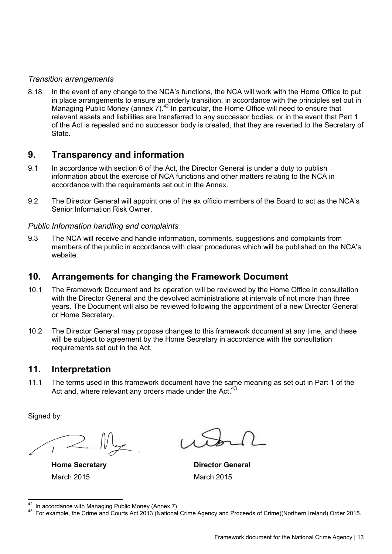## *Transition arrangements*

8.18 In the event of any change to the NCA's functions, the NCA will work with the Home Office to put in place arrangements to ensure an orderly transition, in accordance with the principles set out in Managing Public Money (annex 7).42 In particular, the Home Office will need to ensure that relevant assets and liabilities are transferred to any successor bodies, or in the event that Part 1 of the Act is repealed and no successor body is created, that they are reverted to the Secretary of State.

## **9. Transparency and information**

- <span id="page-16-0"></span>9.1 In accordance with section 6 of the Act, the Director General is under a duty to publish information about the exercise of NCA functions and other matters relating to the NCA in accordance with the requirements set out in the Annex.
- 9.2 The Director General will appoint one of the ex officio members of the Board to act as the NCA's Senior Information Risk Owner.

## *Public Information handling and complaints*

9.3 The NCA will receive and handle information, comments, suggestions and complaints from members of the public in accordance with clear procedures which will be published on the NCA's website.

## **10. Arrangements for changing the Framework Document**

- <span id="page-16-1"></span>10.1 The Framework Document and its operation will be reviewed by the Home Office in consultation with the Director General and the devolved administrations at intervals of not more than three years. The Document will also be reviewed following the appointment of a new Director General or Home Secretary.
- 10.2 The Director General may propose changes to this framework document at any time, and these will be subject to agreement by the Home Secretary in accordance with the consultation requirements set out in the Act.

## **11. Interpretation**

<span id="page-16-2"></span>11.1 The terms used in this framework document have the same meaning as set out in Part 1 of the Act and, where relevant any orders made under the Act.  $43$ 

Signed by:

March 2015 March 2015

**Home Secretary Community Community Property Property Director General Arts** 

<sup>&</sup>lt;sup>42</sup> In accordance with Managing Public Money (Annex 7)

<sup>&</sup>lt;sup>43</sup> For example, the Crime and Courts Act 2013 (National Crime Agency and Proceeds of Crime)(Northern Ireland) Order 2015.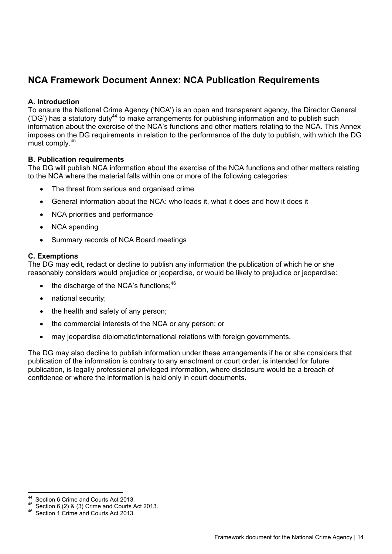# **NCA Framework Document Annex: NCA Publication Requirements**

## <span id="page-17-0"></span>**A. Introduction**

To ensure the National Crime Agency ('NCA') is an open and transparent agency, the Director General ('DG') has a statutory duty<sup>44</sup> to make arrangements for publishing information and to publish such information about the exercise of the NCA's functions and other matters relating to the NCA. This Annex imposes on the DG requirements in relation to the performance of the duty to publish, with which the DG must comply.45

## **B. Publication requirements**

The DG will publish NCA information about the exercise of the NCA functions and other matters relating to the NCA where the material falls within one or more of the following categories:

- The threat from serious and organised crime
- General information about the NCA: who leads it, what it does and how it does it
- NCA priorities and performance
- NCA spending
- Summary records of NCA Board meetings

#### **C. Exemptions**

The DG may edit, redact or decline to publish any information the publication of which he or she reasonably considers would prejudice or jeopardise, or would be likely to prejudice or jeopardise:

- $\bullet$  the discharge of the NCA's functions:  $46$
- national security;
- the health and safety of any person;
- the commercial interests of the NCA or any person; or
- may jeopardise diplomatic/international relations with foreign governments.

The DG may also decline to publish information under these arrangements if he or she considers that publication of the information is contrary to any enactment or court order, is intended for future publication, is legally professional privileged information, where disclosure would be a breach of confidence or where the information is held only in court documents.

 $44$ 

<sup>&</sup>lt;sup>44</sup> Section 6 Crime and Courts Act 2013.<br><sup>45</sup> Section 6 (2) & (3) Crime and Courts Act 2013.<br><sup>46</sup> Section 1 Crime and Courts Act 2013.